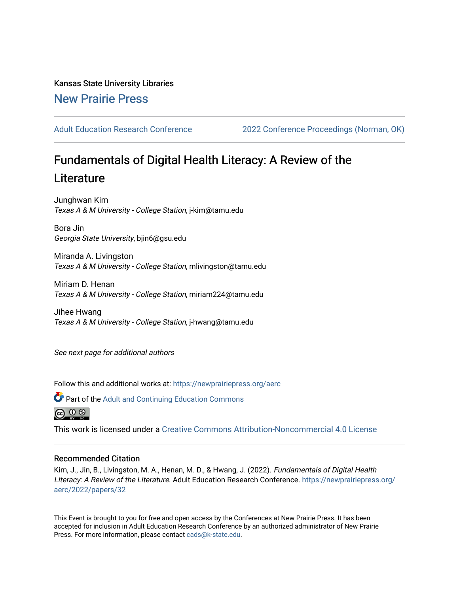Kansas State University Libraries [New Prairie Press](https://newprairiepress.org/) 

[Adult Education Research Conference](https://newprairiepress.org/aerc) [2022 Conference Proceedings \(Norman, OK\)](https://newprairiepress.org/aerc/2022) 

# Fundamentals of Digital Health Literacy: A Review of the **Literature**

Junghwan Kim Texas A & M University - College Station, j-kim@tamu.edu

Bora Jin Georgia State University, bjin6@gsu.edu

Miranda A. Livingston Texas A & M University - College Station, mlivingston@tamu.edu

Miriam D. Henan Texas A & M University - College Station, miriam224@tamu.edu

Jihee Hwang Texas A & M University - College Station, j-hwang@tamu.edu

See next page for additional authors

Follow this and additional works at: [https://newprairiepress.org/aerc](https://newprairiepress.org/aerc?utm_source=newprairiepress.org%2Faerc%2F2022%2Fpapers%2F32&utm_medium=PDF&utm_campaign=PDFCoverPages)



**C** Part of the Adult and Continuing Education Commons



This work is licensed under a [Creative Commons Attribution-Noncommercial 4.0 License](https://creativecommons.org/licenses/by-nc/4.0/)

# Recommended Citation

Kim, J., Jin, B., Livingston, M. A., Henan, M. D., & Hwang, J. (2022). Fundamentals of Digital Health Literacy: A Review of the Literature. Adult Education Research Conference. [https://newprairiepress.org/](https://newprairiepress.org/aerc/2022/papers/32) [aerc/2022/papers/32](https://newprairiepress.org/aerc/2022/papers/32) 

This Event is brought to you for free and open access by the Conferences at New Prairie Press. It has been accepted for inclusion in Adult Education Research Conference by an authorized administrator of New Prairie Press. For more information, please contact [cads@k-state.edu.](mailto:cads@k-state.edu)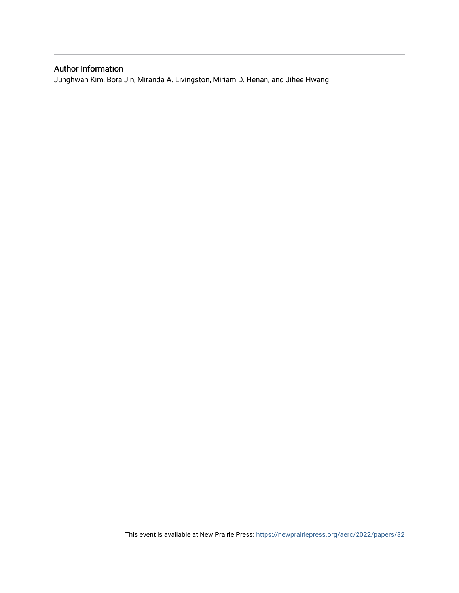# Author Information

Junghwan Kim, Bora Jin, Miranda A. Livingston, Miriam D. Henan, and Jihee Hwang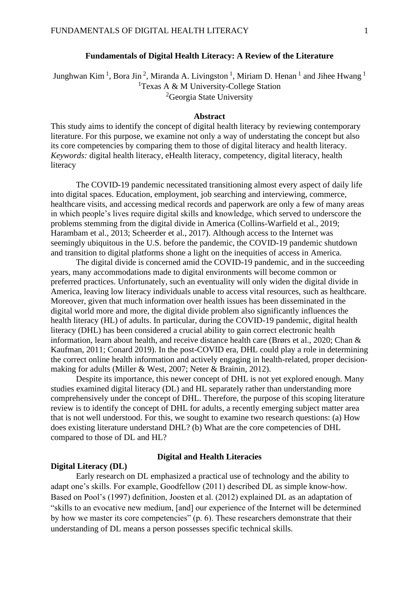## **Fundamentals of Digital Health Literacy: A Review of the Literature**

Junghwan Kim <sup>1</sup>, Bora Jin <sup>2</sup>, Miranda A. Livingston <sup>1</sup>, Miriam D. Henan <sup>1</sup> and Jihee Hwang <sup>1</sup> <sup>1</sup>Texas A & M University-College Station <sup>2</sup>Georgia State University

#### **Abstract**

This study aims to identify the concept of digital health literacy by reviewing contemporary literature. For this purpose, we examine not only a way of understating the concept but also its core competencies by comparing them to those of digital literacy and health literacy. *Keywords:* digital health literacy, eHealth literacy, competency, digital literacy, health literacy

The COVID-19 pandemic necessitated transitioning almost every aspect of daily life into digital spaces. Education, employment, job searching and interviewing, commerce, healthcare visits, and accessing medical records and paperwork are only a few of many areas in which people's lives require digital skills and knowledge, which served to underscore the problems stemming from the digital divide in America (Collins-Warfield et al., 2019; Harambam et al., 2013; Scheerder et al., 2017). Although access to the Internet was seemingly ubiquitous in the U.S. before the pandemic, the COVID-19 pandemic shutdown and transition to digital platforms shone a light on the inequities of access in America.

The digital divide is concerned amid the COVID-19 pandemic, and in the succeeding years, many accommodations made to digital environments will become common or preferred practices. Unfortunately, such an eventuality will only widen the digital divide in America, leaving low literacy individuals unable to access vital resources, such as healthcare. Moreover, given that much information over health issues has been disseminated in the digital world more and more, the digital divide problem also significantly influences the health literacy (HL) of adults. In particular, during the COVID-19 pandemic, digital health literacy (DHL) has been considered a crucial ability to gain correct electronic health information, learn about health, and receive distance health care (Brørs et al., 2020; Chan & Kaufman, 2011; Conard 2019). In the post-COVID era, DHL could play a role in determining the correct online health information and actively engaging in health-related, proper decisionmaking for adults (Miller & West, 2007; Neter & Brainin, 2012).

Despite its importance, this newer concept of DHL is not yet explored enough. Many studies examined digital literacy (DL) and HL separately rather than understanding more comprehensively under the concept of DHL. Therefore, the purpose of this scoping literature review is to identify the concept of DHL for adults, a recently emerging subject matter area that is not well understood. For this, we sought to examine two research questions: (a) How does existing literature understand DHL? (b) What are the core competencies of DHL compared to those of DL and HL?

#### **Digital Literacy (DL)**

#### **Digital and Health Literacies**

Early research on DL emphasized a practical use of technology and the ability to adapt one's skills. For example, Goodfellow (2011) described DL as simple know-how. Based on Pool's (1997) definition, Joosten et al. (2012) explained DL as an adaptation of "skills to an evocative new medium, [and] our experience of the Internet will be determined by how we master its core competencies" (p. 6). These researchers demonstrate that their understanding of DL means a person possesses specific technical skills.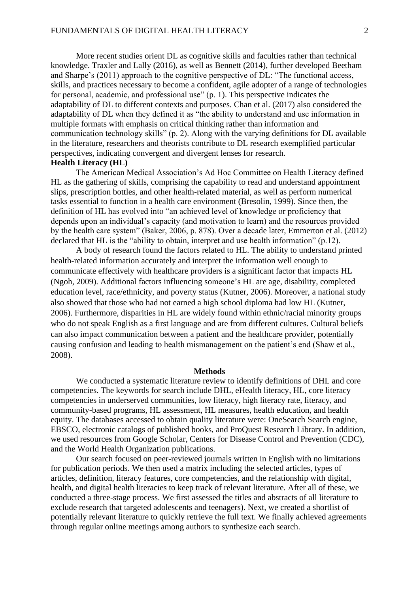More recent studies orient DL as cognitive skills and faculties rather than technical knowledge. Traxler and Lally (2016), as well as Bennett (2014), further developed Beetham and Sharpe's (2011) approach to the cognitive perspective of DL: "The functional access, skills, and practices necessary to become a confident, agile adopter of a range of technologies for personal, academic, and professional use" (p. 1). This perspective indicates the adaptability of DL to different contexts and purposes. Chan et al. (2017) also considered the adaptability of DL when they defined it as "the ability to understand and use information in multiple formats with emphasis on critical thinking rather than information and communication technology skills" (p. 2). Along with the varying definitions for DL available in the literature, researchers and theorists contribute to DL research exemplified particular perspectives, indicating convergent and divergent lenses for research. **Health Literacy (HL)**

The American Medical Association's Ad Hoc Committee on Health Literacy defined HL as the gathering of skills, comprising the capability to read and understand appointment slips, prescription bottles, and other health-related material, as well as perform numerical tasks essential to function in a health care environment (Bresolin, 1999). Since then, the definition of HL has evolved into "an achieved level of knowledge or proficiency that depends upon an individual's capacity (and motivation to learn) and the resources provided by the health care system" (Baker, 2006, p. 878). Over a decade later, Emmerton et al. (2012) declared that HL is the "ability to obtain, interpret and use health information" (p.12).

A body of research found the factors related to HL. The ability to understand printed health-related information accurately and interpret the information well enough to communicate effectively with healthcare providers is a significant factor that impacts HL (Ngoh, 2009). Additional factors influencing someone's HL are age, disability, completed education level, race/ethnicity, and poverty status (Kutner, 2006). Moreover, a national study also showed that those who had not earned a high school diploma had low HL (Kutner, 2006). Furthermore, disparities in HL are widely found within ethnic/racial minority groups who do not speak English as a first language and are from different cultures. Cultural beliefs can also impact communication between a patient and the healthcare provider, potentially causing confusion and leading to health mismanagement on the patient's end (Shaw et al., 2008).

#### **Methods**

We conducted a systematic literature review to identify definitions of DHL and core competencies. The keywords for search include DHL, eHealth literacy, HL, core literacy competencies in underserved communities, low literacy, high literacy rate, literacy, and community-based programs, HL assessment, HL measures, health education, and health equity. The databases accessed to obtain quality literature were: OneSearch Search engine, EBSCO, electronic catalogs of published books, and ProQuest Research Library. In addition, we used resources from Google Scholar, Centers for Disease Control and Prevention (CDC), and the World Health Organization publications.

Our search focused on peer-reviewed journals written in English with no limitations for publication periods. We then used a matrix including the selected articles, types of articles, definition, literacy features, core competencies, and the relationship with digital, health, and digital health literacies to keep track of relevant literature. After all of these, we conducted a three-stage process. We first assessed the titles and abstracts of all literature to exclude research that targeted adolescents and teenagers). Next, we created a shortlist of potentially relevant literature to quickly retrieve the full text. We finally achieved agreements through regular online meetings among authors to synthesize each search.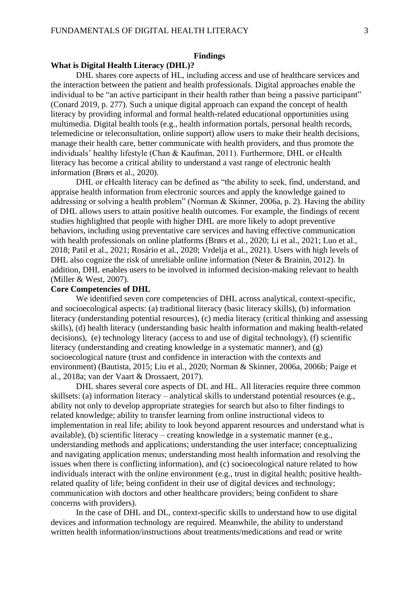## **Findings**

# **What is Digital Health Literacy (DHL)?**

DHL shares core aspects of HL, including access and use of healthcare services and the interaction between the patient and health professionals. Digital approaches enable the individual to be "an active participant in their health rather than being a passive participant" (Conard 2019, p. 277). Such a unique digital approach can expand the concept of health literacy by providing informal and formal health-related educational opportunities using multimedia. Digital health tools (e.g., health information portals, personal health records, telemedicine or teleconsultation, online support) allow users to make their health decisions, manage their health care, better communicate with health providers, and thus promote the individuals' healthy lifestyle (Chan & Kaufman, 2011). Furthermore, DHL or eHealth literacy has become a critical ability to understand a vast range of electronic health information (Brørs et al., 2020).

DHL or eHealth literacy can be defined as "the ability to seek, find, understand, and appraise health information from electronic sources and apply the knowledge gained to addressing or solving a health problem" (Norman & Skinner, 2006a, p. 2). Having the ability of DHL allows users to attain positive health outcomes. For example, the findings of recent studies highlighted that people with higher DHL are more likely to adopt preventive behaviors, including using preventative care services and having effective communication with health professionals on online platforms (Brørs et al., 2020; Li et al., 2021; Luo et al., 2018; Patil et al., 2021; Rosário et al., 2020; Vrdelja et al., 2021). Users with high levels of DHL also cognize the risk of unreliable online information (Neter & Brainin, 2012). In addition, DHL enables users to be involved in informed decision-making relevant to health (Miller & West, 2007).

## **Core Competencies of DHL**

We identified seven core competencies of DHL across analytical, context-specific, and socioecological aspects: (a) traditional literacy (basic literacy skills), (b) information literacy (understanding potential resources), (c) media literacy (critical thinking and assessing skills), (d) health literacy (understanding basic health information and making health-related decisions), (e) technology literacy (access to and use of digital technology), (f) scientific literacy (understanding and creating knowledge in a systematic manner), and (g) socioecological nature (trust and confidence in interaction with the contexts and environment) (Bautista, 2015; Liu et al., 2020; Norman & Skinner, 2006a, 2006b; Paige et al., 2018a; van der Vaart & Drossaert, 2017).

DHL shares several core aspects of DL and HL. All literacies require three common skillsets: (a) information literacy – analytical skills to understand potential resources (e.g., ability not only to develop appropriate strategies for search but also to filter findings to related knowledge; ability to transfer learning from online instructional videos to implementation in real life; ability to look beyond apparent resources and understand what is available), (b) scientific literacy – creating knowledge in a systematic manner (e.g., understanding methods and applications; understanding the user interface; conceptualizing and navigating application menus; understanding most health information and resolving the issues when there is conflicting information), and (c) socioecological nature related to how individuals interact with the online environment (e.g., trust in digital health; positive healthrelated quality of life; being confident in their use of digital devices and technology; communication with doctors and other healthcare providers; being confident to share concerns with providers).

In the case of DHL and DL, context-specific skills to understand how to use digital devices and information technology are required. Meanwhile, the ability to understand written health information/instructions about treatments/medications and read or write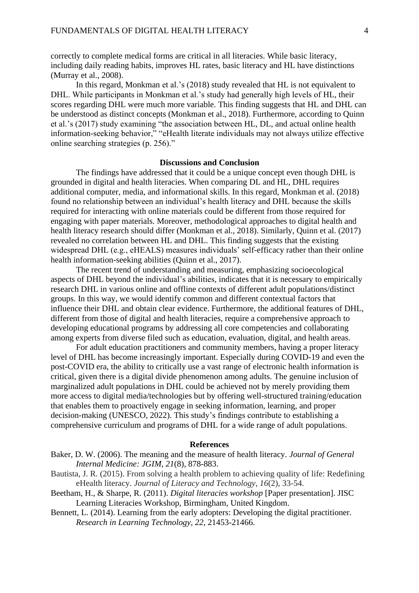correctly to complete medical forms are critical in all literacies. While basic literacy, including daily reading habits, improves HL rates, basic literacy and HL have distinctions (Murray et al., 2008).

In this regard, Monkman et al.'s (2018) study revealed that HL is not equivalent to DHL. While participants in Monkman et al.'s study had generally high levels of HL, their scores regarding DHL were much more variable. This finding suggests that HL and DHL can be understood as distinct concepts (Monkman et al., 2018). Furthermore, according to Quinn et al.'s (2017) study examining "the association between HL, DL, and actual online health information-seeking behavior," "eHealth literate individuals may not always utilize effective online searching strategies (p. 256)."

#### **Discussions and Conclusion**

The findings have addressed that it could be a unique concept even though DHL is grounded in digital and health literacies. When comparing DL and HL, DHL requires additional computer, media, and informational skills. In this regard, Monkman et al. (2018) found no relationship between an individual's health literacy and DHL because the skills required for interacting with online materials could be different from those required for engaging with paper materials. Moreover, methodological approaches to digital health and health literacy research should differ (Monkman et al., 2018). Similarly, Quinn et al. (2017) revealed no correlation between HL and DHL. This finding suggests that the existing widespread DHL (e.g., eHEALS) measures individuals' self-efficacy rather than their online health information-seeking abilities (Quinn et al., 2017).

The recent trend of understanding and measuring, emphasizing socioecological aspects of DHL beyond the individual's abilities, indicates that it is necessary to empirically research DHL in various online and offline contexts of different adult populations/distinct groups. In this way, we would identify common and different contextual factors that influence their DHL and obtain clear evidence. Furthermore, the additional features of DHL, different from those of digital and health literacies, require a comprehensive approach to developing educational programs by addressing all core competencies and collaborating among experts from diverse filed such as education, evaluation, digital, and health areas.

For adult education practitioners and community members, having a proper literacy level of DHL has become increasingly important. Especially during COVID-19 and even the post-COVID era, the ability to critically use a vast range of electronic health information is critical, given there is a digital divide phenomenon among adults. The genuine inclusion of marginalized adult populations in DHL could be achieved not by merely providing them more access to digital media/technologies but by offering well-structured training/education that enables them to proactively engage in seeking information, learning, and proper decision-making (UNESCO, 2022). This study's findings contribute to establishing a comprehensive curriculum and programs of DHL for a wide range of adult populations.

## **References**

- Baker, D. W. (2006). The meaning and the measure of health literacy. *Journal of General Internal Medicine: JGIM, 21*(8), 878-883.
- Bautista, J. R. (2015). From solving a health problem to achieving quality of life: Redefining eHealth literacy. *Journal of Literacy and Technology*, *16*(2), 33-54.
- Beetham, H., & Sharpe, R. (2011). *Digital literacies workshop* [Paper presentation]. JISC Learning Literacies Workshop, Birmingham, United Kingdom.
- Bennett, L. (2014). Learning from the early adopters: Developing the digital practitioner. *Research in Learning Technology, 22*, 21453-21466.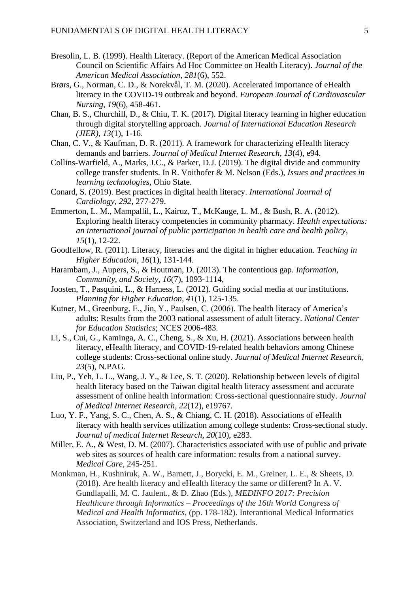- Bresolin, L. B. (1999). Health Literacy. (Report of the American Medical Association Council on Scientific Affairs Ad Hoc Committee on Health Literacy). *Journal of the American Medical Association*, *281*(6), 552.
- Brørs, G., Norman, C. D., & Norekvål, T. M. (2020). Accelerated importance of eHealth literacy in the COVID-19 outbreak and beyond. *European Journal of Cardiovascular Nursing, 19*(6), 458-461.
- Chan, B. S., Churchill, D., & Chiu, T. K. (2017). Digital literacy learning in higher education through digital storytelling approach. *Journal of International Education Research (JIER), 13*(1), 1-16.
- Chan, C. V., & Kaufman, D. R. (2011). A framework for characterizing eHealth literacy demands and barriers. *Journal of Medical Internet Research, 13*(4), e94.
- Collins-Warfield, A., Marks, J.C., & Parker, D.J. (2019). The digital divide and community college transfer students. In R. Voithofer & M. Nelson (Eds.), *Issues and practices in learning technologies*, Ohio State.
- Conard, S. (2019). Best practices in digital health literacy. *International Journal of Cardiology, 292*, 277-279.
- Emmerton, L. M., Mampallil, L., Kairuz, T., McKauge, L. M., & Bush, R. A. (2012). Exploring health literacy competencies in community pharmacy. *Health expectations: an international journal of public participation in health care and health policy*, *15*(1), 12-22.
- Goodfellow, R. (2011). Literacy, literacies and the digital in higher education. *Teaching in Higher Education, 16*(1), 131-144.
- Harambam, J., Aupers, S., & Houtman, D. (2013). The contentious gap. *Information, Community, and Society, 16*(7), 1093-1114,
- Joosten, T., Pasquini, L., & Harness, L. (2012). Guiding social media at our institutions. *Planning for Higher Education, 41*(1), 125-135.
- Kutner, M., Greenburg, E., Jin, Y., Paulsen, C. (2006). The health literacy of America's adults: Results from the 2003 national assessment of adult literacy. *National Center for Education Statistics*; NCES 2006-483.
- Li, S., Cui, G., Kaminga, A. C., Cheng, S., & Xu, H. (2021). Associations between health literacy, eHealth literacy, and COVID-19-related health behaviors among Chinese college students: Cross-sectional online study. *Journal of Medical Internet Research, 23*(5), N.PAG.
- Liu, P., Yeh, L. L., Wang, J. Y., & Lee, S. T. (2020). Relationship between levels of digital health literacy based on the Taiwan digital health literacy assessment and accurate assessment of online health information: Cross-sectional questionnaire study. *Journal of Medical Internet Research, 22*(12), e19767.
- Luo, Y. F., Yang, S. C., Chen, A. S., & Chiang, C. H. (2018). Associations of eHealth literacy with health services utilization among college students: Cross-sectional study. *Journal of medical Internet Research, 20*(10), e283.
- Miller, E. A., & West, D. M. (2007). Characteristics associated with use of public and private web sites as sources of health care information: results from a national survey. *Medical Care*, 245-251.
- Monkman, H., Kushniruk, A. W., Barnett, J., Borycki, E. M., Greiner, L. E., & Sheets, D. (2018). Are health literacy and eHealth literacy the same or different? In A. V. Gundlapalli, M. C. Jaulent., & D. Zhao (Eds.), *MEDINFO 2017: Precision Healthcare through Informatics – Proceedings of the 16th World Congress of Medical and Health Informatics*, (pp. 178-182). Interantional Medical Informatics Association, Switzerland and IOS Press, Netherlands.